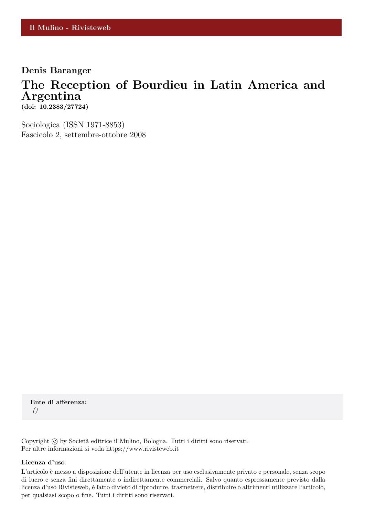## **Denis Baranger**

## **The Reception of Bourdieu in Latin America and Argentina**

**(doi: 10.2383/27724)**

Sociologica (ISSN 1971-8853) Fascicolo 2, settembre-ottobre 2008

**Ente di afferenza:** *()*

Copyright © by Società editrice il Mulino, Bologna. Tutti i diritti sono riservati. Per altre informazioni si veda https://www.rivisteweb.it

#### **Licenza d'uso**

L'articolo è messo a disposizione dell'utente in licenza per uso esclusivamente privato e personale, senza scopo di lucro e senza fini direttamente o indirettamente commerciali. Salvo quanto espressamente previsto dalla licenza d'uso Rivisteweb, è fatto divieto di riprodurre, trasmettere, distribuire o altrimenti utilizzare l'articolo, per qualsiasi scopo o fine. Tutti i diritti sono riservati.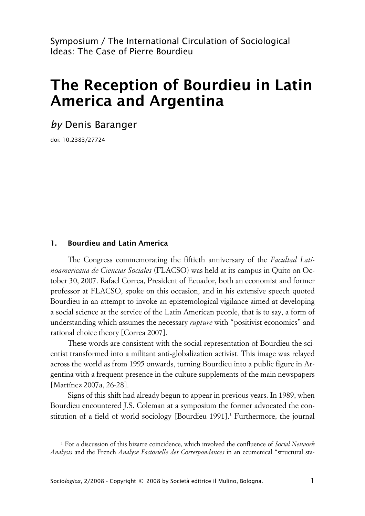Symposium / The International Circulation of Sociological Ideas: The Case of Pierre Bourdieu

# **The Reception of Bourdieu in Latin America and Argentina**

*by* Denis Baranger

doi: 10.2383/27724

## **1. Bourdieu and Latin America**

The Congress commemorating the fiftieth anniversary of the *Facultad Latinoamericana de Ciencias Sociales* (FLACSO) was held at its campus in Quito on October 30, 2007. Rafael Correa, President of Ecuador, both an economist and former professor at FLACSO, spoke on this occasion, and in his extensive speech quoted Bourdieu in an attempt to invoke an epistemological vigilance aimed at developing a social science at the service of the Latin American people, that is to say, a form of understanding which assumes the necessary *rupture* with "positivist economics" and rational choice theory [Correa 2007].

These words are consistent with the social representation of Bourdieu the scientist transformed into a militant anti-globalization activist. This image was relayed across the world as from 1995 onwards, turning Bourdieu into a public figure in Argentina with a frequent presence in the culture supplements of the main newspapers [Martínez 2007a, 26-28].

Signs of this shift had already begun to appear in previous years. In 1989, when Bourdieu encountered J.S. Coleman at a symposium the former advocated the constitution of a field of world sociology [Bourdieu 1991].<sup>1</sup> Furthermore, the journal

<sup>1</sup> For a discussion of this bizarre coincidence, which involved the confluence of *Social Network Analysis* and the French *Analyse Factorielle des Correspondances* in an ecumenical "structural sta-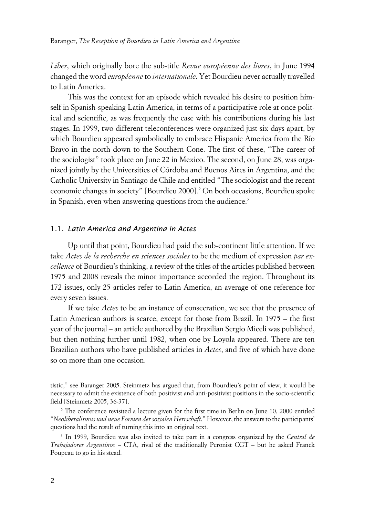*Liber*, which originally bore the sub-title *Revue européenne des livres*, in June 1994 changed the word *européenne* to *internationale*. Yet Bourdieu never actually travelled to Latin America.

This was the context for an episode which revealed his desire to position himself in Spanish-speaking Latin America, in terms of a participative role at once political and scientific, as was frequently the case with his contributions during his last stages. In 1999, two different teleconferences were organized just six days apart, by which Bourdieu appeared symbolically to embrace Hispanic America from the Río Bravo in the north down to the Southern Cone. The first of these, "The career of the sociologist" took place on June 22 in Mexico. The second, on June 28, was organized jointly by the Universities of Córdoba and Buenos Aires in Argentina, and the Catholic University in Santiago de Chile and entitled "The sociologist and the recent economic changes in society" [Bourdieu 2000].<sup>2</sup> On both occasions, Bourdieu spoke in Spanish, even when answering questions from the audience.<sup>3</sup>

#### 1.1. *Latin America and Argentina in Actes*

Up until that point, Bourdieu had paid the sub-continent little attention. If we take *Actes de la recherche en sciences sociales* to be the medium of expression *par excellence* of Bourdieu's thinking, a review of the titles of the articles published between 1975 and 2008 reveals the minor importance accorded the region. Throughout its 172 issues, only 25 articles refer to Latin America, an average of one reference for every seven issues.

If we take *Actes* to be an instance of consecration, we see that the presence of Latin American authors is scarce, except for those from Brazil. In 1975 – the first year of the journal – an article authored by the Brazilian Sergio Miceli was published, but then nothing further until 1982, when one by Loyola appeared. There are ten Brazilian authors who have published articles in *Actes*, and five of which have done so on more than one occasion.

tistic," see Baranger 2005. Steinmetz has argued that, from Bourdieu's point of view, it would be necessary to admit the existence of both positivist and anti-positivist positions in the socio-scientific field [Steinmetz 2005, 36-37].

<sup>&</sup>lt;sup>2</sup> The conference revisited a lecture given for the first time in Berlin on June 10, 2000 entitled "*Neoliberalismus und neue Formen der sozialen Herrschaft*." However, the answers to the participants' questions had the result of turning this into an original text.

<sup>3</sup> In 1999, Bourdieu was also invited to take part in a congress organized by the *Central de Trabajadores Argentinos* – CTA, rival of the traditionally Peronist CGT – but he asked Franck Poupeau to go in his stead.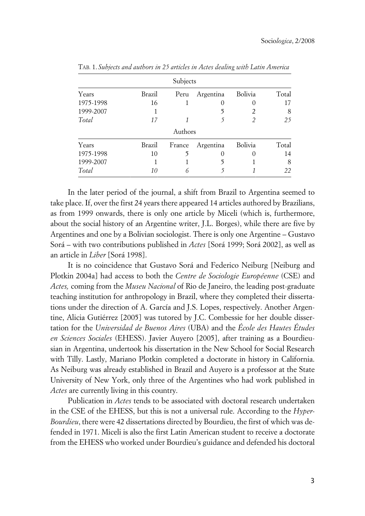| Subjects  |        |         |                  |         |       |
|-----------|--------|---------|------------------|---------|-------|
| Years     | Brazil | Peru    | Argentina        | Bolivia | Total |
| 1975-1998 | 16     |         | $\left( \right)$ |         | 17    |
| 1999-2007 |        |         |                  | 2       | 8     |
| Total     | 17     |         |                  | 2       | 25    |
|           |        | Authors |                  |         |       |
| Years     | Brazil | France  | Argentina        | Bolivia | Total |
| 1975-1998 | 10     | ን       | $\Omega$         |         | 14    |
| 1999-2007 |        |         | 5                |         | 8     |
| Total     | 10     | 6       |                  |         | 22    |

TAB. 1. *Subjects and authors in 25 articles in Actes dealing with Latin America*

In the later period of the journal, a shift from Brazil to Argentina seemed to take place. If, over the first 24 years there appeared 14 articles authored by Brazilians, as from 1999 onwards, there is only one article by Miceli (which is, furthermore, about the social history of an Argentine writer, J.L. Borges), while there are five by Argentines and one by a Bolivian sociologist. There is only one Argentine – Gustavo Sorá – with two contributions published in *Actes* [Sorá 1999; Sorá 2002], as well as an article in *Liber* [Sorá 1998].

It is no coincidence that Gustavo Sorá and Federico Neiburg [Neiburg and Plotkin 2004a] had access to both the *Centre de Sociologie Européenne* (CSE) and *Actes,* coming from the *Museu Nacional* of Rio de Janeiro, the leading post-graduate teaching institution for anthropology in Brazil, where they completed their dissertations under the direction of A. García and J.S. Lopes, respectively. Another Argentine, Alicia Gutiérrez [2005] was tutored by J.C. Combessie for her double dissertation for the *Universidad de Buenos Aires* (UBA) and the *École des Hautes Études en Sciences Sociales* (EHESS). Javier Auyero [2005], after training as a Bourdieusian in Argentina, undertook his dissertation in the New School for Social Research with Tilly. Lastly, Mariano Plotkin completed a doctorate in history in California. As Neiburg was already established in Brazil and Auyero is a professor at the State University of New York, only three of the Argentines who had work published in *Actes* are currently living in this country.

Publication in *Actes* tends to be associated with doctoral research undertaken in the CSE of the EHESS, but this is not a universal rule. According to the *Hyper-Bourdieu*, there were 42 dissertations directed by Bourdieu, the first of which was defended in 1971. Miceli is also the first Latin American student to receive a doctorate from the EHESS who worked under Bourdieu's guidance and defended his doctoral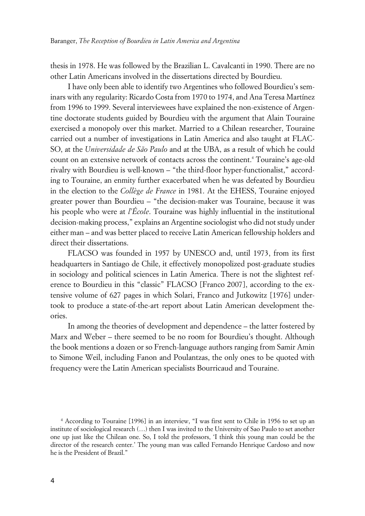thesis in 1978. He was followed by the Brazilian L. Cavalcanti in 1990. There are no other Latin Americans involved in the dissertations directed by Bourdieu.

I have only been able to identify two Argentines who followed Bourdieu's seminars with any regularity: Ricardo Costa from 1970 to 1974, and Ana Teresa Martínez from 1996 to 1999. Several interviewees have explained the non-existence of Argentine doctorate students guided by Bourdieu with the argument that Alain Touraine exercised a monopoly over this market. Married to a Chilean researcher, Touraine carried out a number of investigations in Latin America and also taught at FLAC-SO, at the *Universidade de São Paulo* and at the UBA, as a result of which he could count on an extensive network of contacts across the continent.<sup>4</sup> Touraine's age-old rivalry with Bourdieu is well-known – "the third-floor hyper-functionalist," according to Touraine, an enmity further exacerbated when he was defeated by Bourdieu in the election to the *Collège de France* in 1981. At the EHESS, Touraine enjoyed greater power than Bourdieu – "the decision-maker was Touraine, because it was his people who were at *l'École*. Touraine was highly influential in the institutional decision-making process," explains an Argentine sociologist who did not study under either man – and was better placed to receive Latin American fellowship holders and direct their dissertations.

FLACSO was founded in 1957 by UNESCO and, until 1973, from its first headquarters in Santiago de Chile, it effectively monopolized post-graduate studies in sociology and political sciences in Latin America. There is not the slightest reference to Bourdieu in this "classic" FLACSO [Franco 2007], according to the extensive volume of 627 pages in which Solari, Franco and Jutkowitz [1976] undertook to produce a state-of-the-art report about Latin American development theories.

In among the theories of development and dependence – the latter fostered by Marx and Weber – there seemed to be no room for Bourdieu's thought. Although the book mentions a dozen or so French-language authors ranging from Samir Amin to Simone Weil, including Fanon and Poulantzas, the only ones to be quoted with frequency were the Latin American specialists Bourricaud and Touraine.

<sup>4</sup> According to Touraine [1996] in an interview, "I was first sent to Chile in 1956 to set up an institute of sociological research (…) then I was invited to the University of Sao Paulo to set another one up just like the Chilean one. So, I told the professors, 'I think this young man could be the director of the research center.' The young man was called Fernando Henrique Cardoso and now he is the President of Brazil."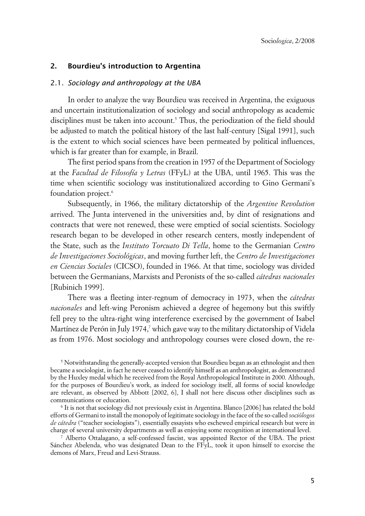## **2. Bourdieu's introduction to Argentina**

#### 2.1. *Sociology and anthropology at the UBA*

In order to analyze the way Bourdieu was received in Argentina, the exiguous and uncertain institutionalization of sociology and social anthropology as academic disciplines must be taken into account.<sup>5</sup> Thus, the periodization of the field should be adjusted to match the political history of the last half-century [Sigal 1991], such is the extent to which social sciences have been permeated by political influences, which is far greater than for example, in Brazil.

The first period spans from the creation in 1957 of the Department of Sociology at the *Facultad de Filosofía y Letras* (FFyL) at the UBA, until 1965. This was the time when scientific sociology was institutionalized according to Gino Germani's foundation project.<sup>6</sup>

Subsequently, in 1966, the military dictatorship of the *Argentine Revolution* arrived. The Junta intervened in the universities and, by dint of resignations and contracts that were not renewed, these were emptied of social scientists. Sociology research began to be developed in other research centers, mostly independent of the State, such as the *Instituto Torcuato Di Tella*, home to the Germanian *Centro de Investigaciones Sociológicas*, and moving further left, the *Centro de Investigaciones en Ciencias Sociales* (CICSO), founded in 1966. At that time, sociology was divided between the Germanians, Marxists and Peronists of the so-called *cátedras nacionales* [Rubinich 1999].

There was a fleeting inter-regnum of democracy in 1973, when the *cátedras nacionales* and left-wing Peronism achieved a degree of hegemony but this swiftly fell prey to the ultra-right wing interference exercised by the government of Isabel Martínez de Perón in July 1974,<sup>7</sup> which gave way to the military dictatorship of Videla as from 1976. Most sociology and anthropology courses were closed down, the re-

 $^5$  Notwithstanding the generally-accepted version that Bourdieu began as an ethnologist and then became a sociologist, in fact he never ceased to identify himself as an anthropologist, as demonstrated by the Huxley medal which he received from the Royal Anthropological Institute in 2000. Although, for the purposes of Bourdieu's work, as indeed for sociology itself, all forms of social knowledge are relevant, as observed by Abbott [2002, 6], I shall not here discuss other disciplines such as communications or education.

6 It is not that sociology did not previously exist in Argentina. Blanco [2006] has related the bold efforts of Germani to install the monopoly of legitimate sociology in the face of the so-called *sociólogos de cátedra* ("teacher sociologists"), essentially essayists who eschewed empirical research but were in charge of several university departments as well as enjoying some recognition at international level.

7 Alberto Ottalagano, a self-confessed fascist, was appointed Rector of the UBA. The priest Sánchez Abelenda, who was designated Dean to the FFyL, took it upon himself to exorcise the demons of Marx, Freud and Levi-Strauss.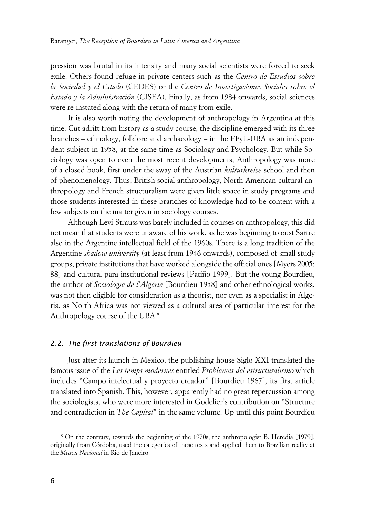pression was brutal in its intensity and many social scientists were forced to seek exile. Others found refuge in private centers such as the *Centro de Estudios sobre la Sociedad y el Estado* (CEDES) or the *Centro de Investigaciones Sociales sobre el Estado y la Administración* (CISEA). Finally, as from 1984 onwards, social sciences were re-instated along with the return of many from exile.

It is also worth noting the development of anthropology in Argentina at this time. Cut adrift from history as a study course, the discipline emerged with its three branches – ethnology, folklore and archaeology – in the FFyL-UBA as an independent subject in 1958, at the same time as Sociology and Psychology. But while Sociology was open to even the most recent developments, Anthropology was more of a closed book, first under the sway of the Austrian *kulturkreise* school and then of phenomenology. Thus, British social anthropology, North American cultural anthropology and French structuralism were given little space in study programs and those students interested in these branches of knowledge had to be content with a few subjects on the matter given in sociology courses.

Although Levi-Strauss was barely included in courses on anthropology, this did not mean that students were unaware of his work, as he was beginning to oust Sartre also in the Argentine intellectual field of the 1960s. There is a long tradition of the Argentine *shadow university* (at least from 1946 onwards), composed of small study groups, private institutions that have worked alongside the official ones [Myers 2005: 88] and cultural para-institutional reviews [Patiño 1999]. But the young Bourdieu, the author of *Sociologie de l'Algérie* [Bourdieu 1958] and other ethnological works, was not then eligible for consideration as a theorist, nor even as a specialist in Algeria, as North Africa was not viewed as a cultural area of particular interest for the Anthropology course of the UBA.<sup>8</sup>

#### 2.2. *The first translations of Bourdieu*

Just after its launch in Mexico, the publishing house Siglo XXI translated the famous issue of the *Les temps modernes* entitled *Problemas del estructuralismo* which includes "Campo intelectual y proyecto creador" [Bourdieu 1967], its first article translated into Spanish. This, however, apparently had no great repercussion among the sociologists, who were more interested in Godelier's contribution on "Structure and contradiction in *The Capital*" in the same volume. Up until this point Bourdieu

<sup>8</sup> On the contrary, towards the beginning of the 1970s, the anthropologist B. Heredia [1979], originally from Córdoba, used the categories of these texts and applied them to Brazilian reality at the *Museu Nacional* in Rio de Janeiro.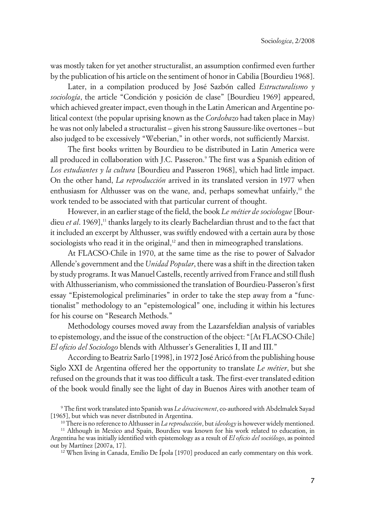was mostly taken for yet another structuralist, an assumption confirmed even further by the publication of his article on the sentiment of honor in Cabilia [Bourdieu 1968].

Later, in a compilation produced by José Sazbón called *Estructuralismo y sociología*, the article "Condición y posición de clase" [Bourdieu 1969] appeared, which achieved greater impact, even though in the Latin American and Argentine political context (the popular uprising known as the *Cordobazo* had taken place in May) he was not only labeled a structuralist – given his strong Saussure-like overtones – but also judged to be excessively "Weberian," in other words, not sufficiently Marxist.

The first books written by Bourdieu to be distributed in Latin America were all produced in collaboration with J.C. Passeron.<sup>9</sup> The first was a Spanish edition of *Los estudiantes y la cultura* [Bourdieu and Passeron 1968], which had little impact. On the other hand, *La reproducción* arrived in its translated version in 1977 when enthusiasm for Althusser was on the wane, and, perhaps somewhat unfairly, $10$  the work tended to be associated with that particular current of thought.

However, in an earlier stage of the field, the book *Le métier de sociologue* [Bourdieu *et al.* 1969],<sup>11</sup> thanks largely to its clearly Bachelardian thrust and to the fact that it included an excerpt by Althusser, was swiftly endowed with a certain aura by those sociologists who read it in the original,<sup>12</sup> and then in mimeographed translations.

At FLACSO-Chile in 1970, at the same time as the rise to power of Salvador Allende's government and the *Unidad Popular*, there was a shift in the direction taken by study programs. It was Manuel Castells, recently arrived from France and still flush with Althusserianism, who commissioned the translation of Bourdieu-Passeron's first essay "Epistemological preliminaries" in order to take the step away from a "functionalist" methodology to an "epistemological" one, including it within his lectures for his course on "Research Methods."

Methodology courses moved away from the Lazarsfeldian analysis of variables to epistemology, and the issue of the construction of the object: "[At FLACSO-Chile] *El oficio del Sociologo* blends with Althusser's Generalities I, II and III."

According to Beatriz Sarlo [1998], in 1972 José Aricó from the publishing house Siglo XXI de Argentina offered her the opportunity to translate *Le métier*, but she refused on the grounds that it was too difficult a task. The first-ever translated edition of the book would finally see the light of day in Buenos Aires with another team of x

 $12$  When living in Canada, Emilio De Ípola [1970] produced an early commentary on this work.

<sup>9</sup> The first work translated into Spanish was *Le déracinement*, co-authored with Abdelmalek Sayad [1965], but which was never distributed in Argentina.

<sup>10</sup> There is no reference to Althusser in *La reproducción*, but *ideology* is however widely mentioned.

<sup>11</sup> Although in Mexico and Spain, Bourdieu was known for his work related to education, in Argentina he was initially identified with epistemology as a result of *El oficio del sociólogo*, as pointed out by Martínez [2007a, 17].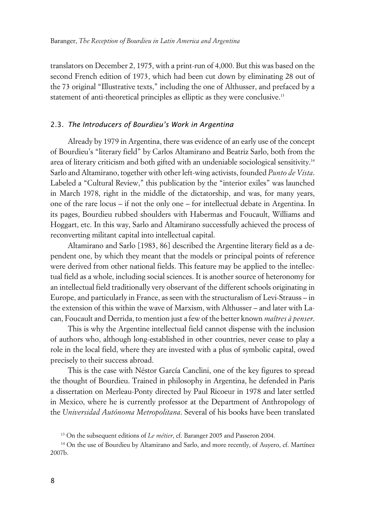translators on December 2, 1975, with a print-run of 4,000. But this was based on the second French edition of 1973, which had been cut down by eliminating 28 out of the 73 original "Illustrative texts," including the one of Althusser, and prefaced by a statement of anti-theoretical principles as elliptic as they were conclusive.<sup>13</sup>

## 2.3. *The Introducers of Bourdieu's Work in Argentina*

Already by 1979 in Argentina, there was evidence of an early use of the concept of Bourdieu's "literary field" by Carlos Altamirano and Beatriz Sarlo, both from the area of literary criticism and both gifted with an undeniable sociological sensitivity.<sup>14</sup> Sarlo and Altamirano, together with other left-wing activists, founded *Punto de Vista*. Labeled a "Cultural Review," this publication by the "interior exiles" was launched in March 1978, right in the middle of the dictatorship, and was, for many years, one of the rare locus – if not the only one – for intellectual debate in Argentina. In its pages, Bourdieu rubbed shoulders with Habermas and Foucault, Williams and Hoggart, etc. In this way, Sarlo and Altamirano successfully achieved the process of reconverting militant capital into intellectual capital.

Altamirano and Sarlo [1983, 86] described the Argentine literary field as a dependent one, by which they meant that the models or principal points of reference were derived from other national fields. This feature may be applied to the intellectual field as a whole, including social sciences. It is another source of heteronomy for an intellectual field traditionally very observant of the different schools originating in Europe, and particularly in France, as seen with the structuralism of Levi-Strauss – in the extension of this within the wave of Marxism, with Althusser – and later with Lacan, Foucault and Derrida, to mention just a few of the better known *maîtres à penser*.

This is why the Argentine intellectual field cannot dispense with the inclusion of authors who, although long-established in other countries, never cease to play a role in the local field, where they are invested with a plus of symbolic capital, owed precisely to their success abroad.

This is the case with Néstor García Canclini, one of the key figures to spread the thought of Bourdieu. Trained in philosophy in Argentina, he defended in Paris a dissertation on Merleau-Ponty directed by Paul Ricoeur in 1978 and later settled in Mexico, where he is currently professor at the Department of Anthropology of the *Universidad Autónoma Metropolitana*. Several of his books have been translated

<sup>13</sup> On the subsequent editions of *Le métier*, cf. Baranger 2005 and Passeron 2004.

<sup>&</sup>lt;sup>14</sup> On the use of Bourdieu by Altamirano and Sarlo, and more recently, of Auyero, cf. Martínez 2007b.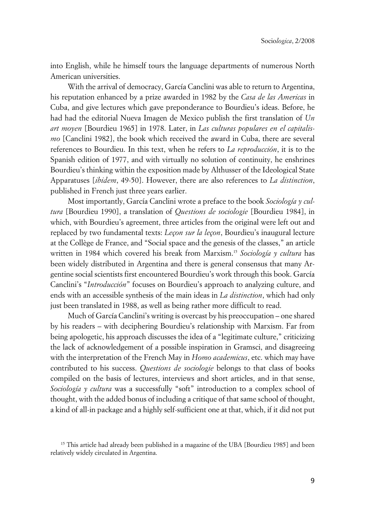into English, while he himself tours the language departments of numerous North American universities.

With the arrival of democracy, García Canclini was able to return to Argentina, his reputation enhanced by a prize awarded in 1982 by the *Casa de las Americas* in Cuba, and give lectures which gave preponderance to Bourdieu's ideas. Before, he had had the editorial Nueva Imagen de Mexico publish the first translation of *Un art moyen* [Bourdieu 1965] in 1978. Later, in *Las culturas populares en el capitalismo* [Canclini 1982], the book which received the award in Cuba, there are several references to Bourdieu. In this text, when he refers to *La reproducción*, it is to the Spanish edition of 1977, and with virtually no solution of continuity, he enshrines Bourdieu's thinking within the exposition made by Althusser of the Ideological State Apparatuses [*ibidem*, 49-50]. However, there are also references to *La distinction*, published in French just three years earlier.

Most importantly, García Canclini wrote a preface to the book *Sociología y cultura* [Bourdieu 1990], a translation of *Questions de sociologie* [Bourdieu 1984], in which, with Bourdieu's agreement, three articles from the original were left out and replaced by two fundamental texts: *Leçon sur la leçon*, Bourdieu's inaugural lecture at the Collège de France, and "Social space and the genesis of the classes," an article written in 1984 which covered his break from Marxism.<sup>15</sup> *Sociología y cultura* has been widely distributed in Argentina and there is general consensus that many Argentine social scientists first encountered Bourdieu's work through this book. García Canclini's "*Introducción*" focuses on Bourdieu's approach to analyzing culture, and ends with an accessible synthesis of the main ideas in *La distinction*, which had only just been translated in 1988, as well as being rather more difficult to read.

Much of García Canclini's writing is overcast by his preoccupation – one shared by his readers – with deciphering Bourdieu's relationship with Marxism. Far from being apologetic, his approach discusses the idea of a "legitimate culture," criticizing the lack of acknowledgement of a possible inspiration in Gramsci, and disagreeing with the interpretation of the French May in *Homo academicus*, etc. which may have contributed to his success. *Questions de sociologie* belongs to that class of books compiled on the basis of lectures, interviews and short articles, and in that sense, *Sociología y cultura* was a successfully "soft" introduction to a complex school of thought, with the added bonus of including a critique of that same school of thought, a kind of all-in package and a highly self-sufficient one at that, which, if it did not put

<sup>&</sup>lt;sup>15</sup> This article had already been published in a magazine of the UBA [Bourdieu 1985] and been relatively widely circulated in Argentina.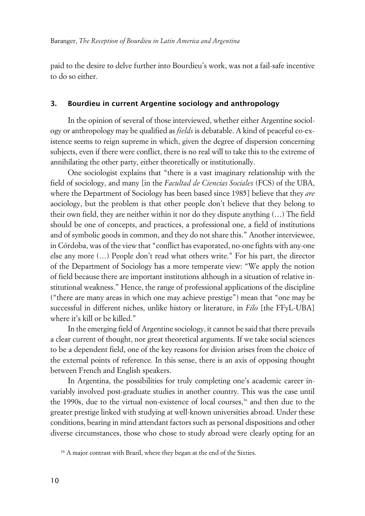paid to the desire to delve further into Bourdieu's work, was not a fail-safe incentive to do so either.

## **3. Bourdieu in current Argentine sociology and anthropology**

In the opinion of several of those interviewed, whether either Argentine sociology or anthropology may be qualified as *fields* is debatable. A kind of peaceful co-existence seems to reign supreme in which, given the degree of dispersion concerning subjects, even if there were conflict, there is no real will to take this to the extreme of annihilating the other party, either theoretically or institutionally.

One sociologist explains that "there is a vast imaginary relationship with the field of sociology, and many [in the *Facultad de Ciencias Sociales* (FCS) of the UBA, where the Department of Sociology has been based since 1985] believe that they *are* aociology, but the problem is that other people don't believe that they belong to their own field, they are neither within it nor do they dispute anything (…) The field should be one of concepts, and practices, a professional one, a field of institutions and of symbolic goods in common, and they do not share this." Another interviewee, in Córdoba, was of the view that "conflict has evaporated, no-one fights with any-one else any more (…) People don't read what others write." For his part, the director of the Department of Sociology has a more temperate view: "We apply the notion of field because there are important institutions although in a situation of relative institutional weakness." Hence, the range of professional applications of the discipline ("there are many areas in which one may achieve prestige") mean that "one may be successful in different niches, unlike history or literature, in *Filo* [the FFyL-UBA] where it's kill or be killed."

In the emerging field of Argentine sociology, it cannot be said that there prevails a clear current of thought, nor great theoretical arguments. If we take social sciences to be a dependent field, one of the key reasons for division arises from the choice of the external points of reference. In this sense, there is an axis of opposing thought between French and English speakers.

In Argentina, the possibilities for truly completing one's academic career invariably involved post-graduate studies in another country. This was the case until the 1990s, due to the virtual non-existence of local courses,<sup>16</sup> and then due to the greater prestige linked with studying at well-known universities abroad. Under these conditions, bearing in mind attendant factors such as personal dispositions and other diverse circumstances, those who chose to study abroad were clearly opting for an  $\overline{a}$ 

<sup>&</sup>lt;sup>16</sup> A major contrast with Brazil, where they began at the end of the Sixties.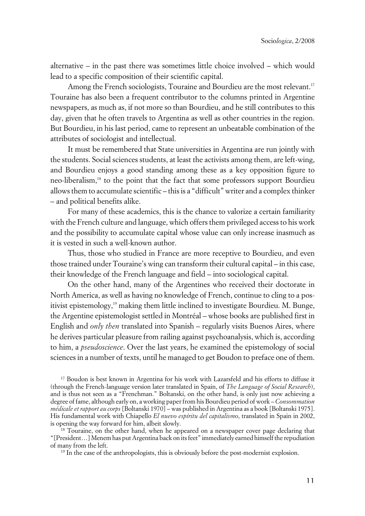alternative – in the past there was sometimes little choice involved – which would lead to a specific composition of their scientific capital.

Among the French sociologists, Touraine and Bourdieu are the most relevant.<sup>17</sup> Touraine has also been a frequent contributor to the columns printed in Argentine newspapers, as much as, if not more so than Bourdieu, and he still contributes to this day, given that he often travels to Argentina as well as other countries in the region. But Bourdieu, in his last period, came to represent an unbeatable combination of the attributes of sociologist and intellectual.

It must be remembered that State universities in Argentina are run jointly with the students. Social sciences students, at least the activists among them, are left-wing, and Bourdieu enjoys a good standing among these as a key opposition figure to neo-liberalism,<sup>18</sup> to the point that the fact that some professors support Bourdieu allows them to accumulate scientific – this is a "difficult" writer and a complex thinker – and political benefits alike.

For many of these academics, this is the chance to valorize a certain familiarity with the French culture and language, which offers them privileged access to his work and the possibility to accumulate capital whose value can only increase inasmuch as it is vested in such a well-known author.

Thus, those who studied in France are more receptive to Bourdieu, and even those trained under Touraine's wing can transform their cultural capital – in this case, their knowledge of the French language and field – into sociological capital.

On the other hand, many of the Argentines who received their doctorate in North America, as well as having no knowledge of French, continue to cling to a positivist epistemology,<sup>19</sup> making them little inclined to investigate Bourdieu. M. Bunge, the Argentine epistemologist settled in Montréal – whose books are published first in English and *only then* translated into Spanish – regularly visits Buenos Aires, where he derives particular pleasure from railing against psychoanalysis, which is, according to him, a *pseudoscience*. Over the last years, he examined the epistemology of social sciences in a number of texts, until he managed to get Boudon to preface one of them.

<sup>17</sup> Boudon is best known in Argentina for his work with Lazarsfeld and his efforts to diffuse it (through the French-language version later translated in Spain, of *The Language of Social Research*), and is thus not seen as a "Frenchman." Boltanski, on the other hand, is only just now achieving a degree of fame, although early on, a working paper from his Bourdieu period of work – *Consommation médicale et rapport au corps* [Boltanski 1970] – was published in Argentina as a book [Boltanski 1975]. His fundamental work with Chiapello *El nuevo espíritu del capitalismo*, translated in Spain in 2002, is opening the way forward for him, albeit slowly.

<sup>&</sup>lt;sup>18</sup> Touraine, on the other hand, when he appeared on a newspaper cover page declaring that "[President…] Menem has put Argentina back on its feet" immediately earned himself the repudiation of many from the left.

 $19$  In the case of the anthropologists, this is obviously before the post-modernist explosion.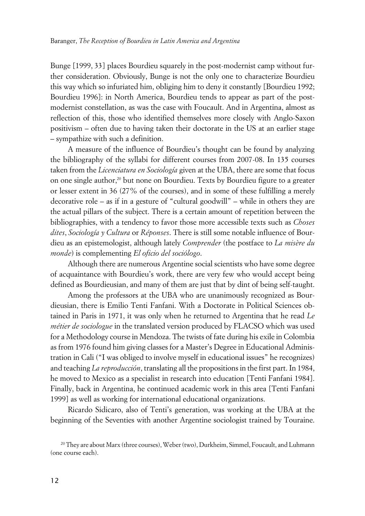Bunge [1999, 33] places Bourdieu squarely in the post-modernist camp without further consideration. Obviously, Bunge is not the only one to characterize Bourdieu this way which so infuriated him, obliging him to deny it constantly [Bourdieu 1992; Bourdieu 1996]: in North America, Bourdieu tends to appear as part of the postmodernist constellation, as was the case with Foucault. And in Argentina, almost as reflection of this, those who identified themselves more closely with Anglo-Saxon positivism – often due to having taken their doctorate in the US at an earlier stage – sympathize with such a definition.

A measure of the influence of Bourdieu's thought can be found by analyzing the bibliography of the syllabi for different courses from 2007-08. In 135 courses taken from the *Licenciatura en Sociología* given at the UBA, there are some that focus on one single author,<sup>20</sup> but none on Bourdieu. Texts by Bourdieu figure to a greater or lesser extent in 36 (27% of the courses), and in some of these fulfilling a merely decorative role – as if in a gesture of "cultural goodwill" – while in others they are the actual pillars of the subject. There is a certain amount of repetition between the bibliographies, with a tendency to favor those more accessible texts such as *Choses dites*, *Sociología y Cultura* or *Réponses*. There is still some notable influence of Bourdieu as an epistemologist, although lately *Comprender* (the postface to *La misère du monde*) is complementing *El oficio del sociólogo*.

Although there are numerous Argentine social scientists who have some degree of acquaintance with Bourdieu's work, there are very few who would accept being defined as Bourdieusian, and many of them are just that by dint of being self-taught.

Among the professors at the UBA who are unanimously recognized as Bourdieusian, there is Emilio Tenti Fanfani. With a Doctorate in Political Sciences obtained in Paris in 1971, it was only when he returned to Argentina that he read *Le métier de sociologue* in the translated version produced by FLACSO which was used for a Methodology course in Mendoza. The twists of fate during his exile in Colombia as from 1976 found him giving classes for a Master's Degree in Educational Administration in Cali ("I was obliged to involve myself in educational issues" he recognizes) and teaching *La reproducción*, translating all the propositions in the first part. In 1984, he moved to Mexico as a specialist in research into education [Tenti Fanfani 1984]. Finally, back in Argentina, he continued academic work in this area [Tenti Fanfani 1999] as well as working for international educational organizations.

Ricardo Sidicaro, also of Tenti's generation, was working at the UBA at the beginning of the Seventies with another Argentine sociologist trained by Touraine.

<sup>20</sup> They are about Marx (three courses), Weber (two), Durkheim, Simmel, Foucault, and Luhmann (one course each).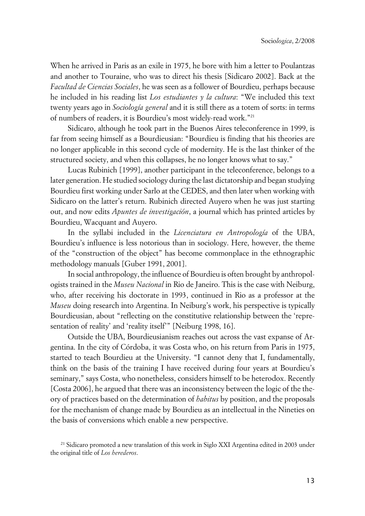When he arrived in Paris as an exile in 1975, he bore with him a letter to Poulantzas and another to Touraine, who was to direct his thesis [Sidicaro 2002]. Back at the *Facultad de Ciencias Sociales*, he was seen as a follower of Bourdieu, perhaps because he included in his reading list *Los estudiantes y la cultura*: "We included this text twenty years ago in *Sociología general* and it is still there as a totem of sorts: in terms of numbers of readers, it is Bourdieu's most widely-read work."<sup>21</sup>

Sidicaro, although he took part in the Buenos Aires teleconference in 1999, is far from seeing himself as a Bourdieusian: "Bourdieu is finding that his theories are no longer applicable in this second cycle of modernity. He is the last thinker of the structured society, and when this collapses, he no longer knows what to say."

Lucas Rubinich [1999], another participant in the teleconference, belongs to a later generation. He studied sociology during the last dictatorship and began studying Bourdieu first working under Sarlo at the CEDES, and then later when working with Sidicaro on the latter's return. Rubinich directed Auyero when he was just starting out, and now edits *Apuntes de investigación*, a journal which has printed articles by Bourdieu, Wacquant and Auyero.

In the syllabi included in the *Licenciatura en Antropología* of the UBA, Bourdieu's influence is less notorious than in sociology. Here, however, the theme of the "construction of the object" has become commonplace in the ethnographic methodology manuals [Guber 1991, 2001].

In social anthropology, the influence of Bourdieu is often brought by anthropologists trained in the *Museu Nacional* in Rio de Janeiro. This is the case with Neiburg, who, after receiving his doctorate in 1993, continued in Rio as a professor at the *Museu* doing research into Argentina. In Neiburg's work, his perspective is typically Bourdieusian, about "reflecting on the constitutive relationship between the 'representation of reality' and 'reality itself'" [Neiburg 1998, 16].

Outside the UBA, Bourdieusianism reaches out across the vast expanse of Argentina. In the city of Córdoba, it was Costa who, on his return from Paris in 1975, started to teach Bourdieu at the University. "I cannot deny that I, fundamentally, think on the basis of the training I have received during four years at Bourdieu's seminary," says Costa, who nonetheless, considers himself to be heterodox. Recently [Costa 2006], he argued that there was an inconsistency between the logic of the theory of practices based on the determination of *habitus* by position, and the proposals for the mechanism of change made by Bourdieu as an intellectual in the Nineties on the basis of conversions which enable a new perspective.

<sup>21</sup> Sidicaro promoted a new translation of this work in Siglo XXI Argentina edited in 2003 under the original title of *Los herederos*.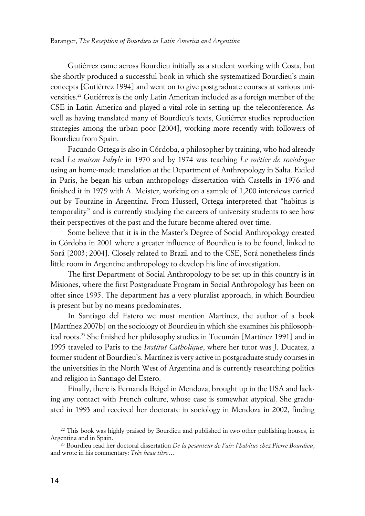Gutiérrez came across Bourdieu initially as a student working with Costa, but she shortly produced a successful book in which she systematized Bourdieu's main concepts [Gutiérrez 1994] and went on to give postgraduate courses at various universities.22 Gutiérrez is the only Latin American included as a foreign member of the CSE in Latin America and played a vital role in setting up the teleconference. As well as having translated many of Bourdieu's texts, Gutiérrez studies reproduction strategies among the urban poor [2004], working more recently with followers of Bourdieu from Spain.

Facundo Ortega is also in Córdoba, a philosopher by training, who had already read *La maison kabyle* in 1970 and by 1974 was teaching *Le métier de sociologue* using an home-made translation at the Department of Anthropology in Salta. Exiled in Paris, he began his urban anthropology dissertation with Castells in 1976 and finished it in 1979 with A. Meister, working on a sample of 1,200 interviews carried out by Touraine in Argentina. From Husserl, Ortega interpreted that "habitus is temporality" and is currently studying the careers of university students to see how their perspectives of the past and the future become altered over time.

Some believe that it is in the Master's Degree of Social Anthropology created in Córdoba in 2001 where a greater influence of Bourdieu is to be found, linked to Sorá [2003; 2004]. Closely related to Brazil and to the CSE, Sorá nonetheless finds little room in Argentine anthropology to develop his line of investigation.

The first Department of Social Anthropology to be set up in this country is in Misiones, where the first Postgraduate Program in Social Anthropology has been on offer since 1995. The department has a very pluralist approach, in which Bourdieu is present but by no means predominates.

In Santiago del Estero we must mention Martínez, the author of a book [Martínez 2007b] on the sociology of Bourdieu in which she examines his philosophical roots.<sup>23</sup> She finished her philosophy studies in Tucumán [Martínez 1991] and in 1995 traveled to Paris to the *Institut Catholique*, where her tutor was J. Ducatez, a former student of Bourdieu's. Martínez is very active in postgraduate study courses in the universities in the North West of Argentina and is currently researching politics and religion in Santiago del Estero.

Finally, there is Fernanda Beigel in Mendoza, brought up in the USA and lacking any contact with French culture, whose case is somewhat atypical. She graduated in 1993 and received her doctorate in sociology in Mendoza in 2002, finding

<sup>22</sup> This book was highly praised by Bourdieu and published in two other publishing houses, in Argentina and in Spain.

<sup>23</sup> Bourdieu read her doctoral dissertation *De la pesanteur de l'air: l'habitus chez Pierre Bourdieu*, and wrote in his commentary: *Très beau titre*…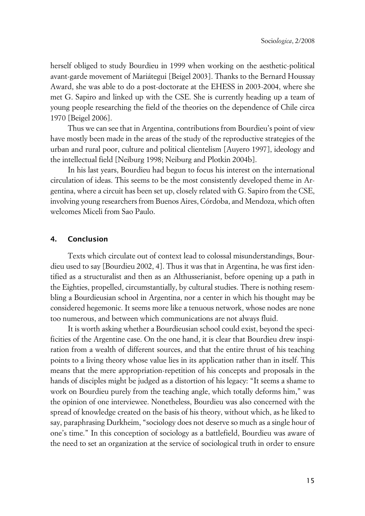herself obliged to study Bourdieu in 1999 when working on the aesthetic-political avant-garde movement of Mariátegui [Beigel 2003]. Thanks to the Bernard Houssay Award, she was able to do a post-doctorate at the EHESS in 2003-2004, where she met G. Sapiro and linked up with the CSE. She is currently heading up a team of young people researching the field of the theories on the dependence of Chile circa 1970 [Beigel 2006].

Thus we can see that in Argentina, contributions from Bourdieu's point of view have mostly been made in the areas of the study of the reproductive strategies of the urban and rural poor, culture and political clientelism [Auyero 1997], ideology and the intellectual field [Neiburg 1998; Neiburg and Plotkin 2004b].

In his last years, Bourdieu had begun to focus his interest on the international circulation of ideas. This seems to be the most consistently developed theme in Argentina, where a circuit has been set up, closely related with G. Sapiro from the CSE, involving young researchers from Buenos Aires, Córdoba, and Mendoza, which often welcomes Miceli from Sao Paulo.

## **4. Conclusion**

Texts which circulate out of context lead to colossal misunderstandings, Bourdieu used to say [Bourdieu 2002, 4]. Thus it was that in Argentina, he was first identified as a structuralist and then as an Althusserianist, before opening up a path in the Eighties, propelled, circumstantially, by cultural studies. There is nothing resembling a Bourdieusian school in Argentina, nor a center in which his thought may be considered hegemonic. It seems more like a tenuous network, whose nodes are none too numerous, and between which communications are not always fluid.

It is worth asking whether a Bourdieusian school could exist, beyond the specificities of the Argentine case. On the one hand, it is clear that Bourdieu drew inspiration from a wealth of different sources, and that the entire thrust of his teaching points to a living theory whose value lies in its application rather than in itself. This means that the mere appropriation-repetition of his concepts and proposals in the hands of disciples might be judged as a distortion of his legacy: "It seems a shame to work on Bourdieu purely from the teaching angle, which totally deforms him," was the opinion of one interviewee. Nonetheless, Bourdieu was also concerned with the spread of knowledge created on the basis of his theory, without which, as he liked to say, paraphrasing Durkheim, "sociology does not deserve so much as a single hour of one's time." In this conception of sociology as a battlefield, Bourdieu was aware of the need to set an organization at the service of sociological truth in order to ensure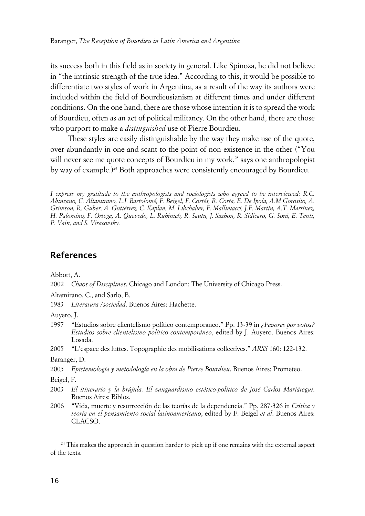its success both in this field as in society in general. Like Spinoza, he did not believe in "the intrinsic strength of the true idea." According to this, it would be possible to differentiate two styles of work in Argentina, as a result of the way its authors were included within the field of Bourdieusianism at different times and under different conditions. On the one hand, there are those whose intention it is to spread the work of Bourdieu, often as an act of political militancy. On the other hand, there are those who purport to make a *distinguished* use of Pierre Bourdieu.

These styles are easily distinguishable by the way they make use of the quote, over-abundantly in one and scant to the point of non-existence in the other ("You will never see me quote concepts of Bourdieu in my work," says one anthropologist by way of example.)<sup>24</sup> Both approaches were consistently encouraged by Bourdieu.

*I express my gratitude to the anthropologists and sociologists who agreed to be interviewed: R.C. Abinzano, C. Altamirano, L.J. Bartolomé, F. Beigel, F. Cortés, R. Costa, E. De Ipola, A.M Gorosito, A. Grimson, R. Guber, A. Gutiérrez, C. Kaplan, M. Libchaber, F. Mallimacci, J.F. Martín, A.T. Martínez, H. Palomino, F. Ortega, A. Quevedo, L. Rubinich, R. Sautu, J. Sazbon, R. Sidicaro, G. Sorá, E. Tenti, P. Vain, and S. Visacovsky.*

## **References**

Abbott, A.

2002 *Chaos of Disciplines*. Chicago and London: The University of Chicago Press.

Altamirano, C., and Sarlo, B.

1983 *Literatura /sociedad*. Buenos Aires: Hachette.

Auyero, J.

- 1997 "Estudios sobre clientelismo político contemporaneo." Pp. 13-39 in *¿Favores por votos? Estudios sobre clientelismo político contemporáneo*, edited by J. Auyero. Buenos Aires: Losada.
- 2005 "L'espace des luttes. Topographie des mobilisations collectives." *ARSS* 160: 122-132.

Baranger, D.

2005 *Epistemología y metodología en la obra de Pierre Bourdieu*. Buenos Aires: Prometeo.

Beigel, F.

- 2003 *El itinerario y la brújula. El vanguardismo estético-político de José Carlos Mariátegui*. Buenos Aires: Biblos.
- 2006 "Vida, muerte y resurrección de las teorías de la dependencia." Pp. 287-326 in *Crítica y teoría en el pensamiento social latinoamericano*, edited by F. Beigel *et al*. Buenos Aires: CLACSO.

<sup>24</sup> This makes the approach in question harder to pick up if one remains with the external aspect of the texts.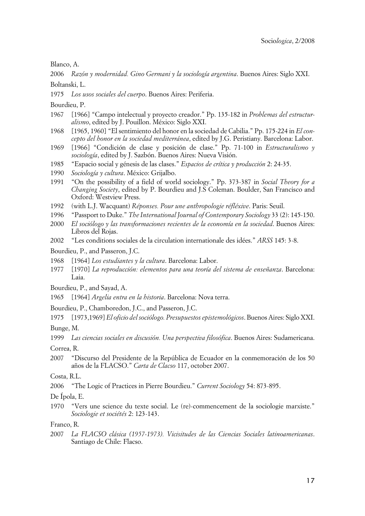Blanco, A.

2006 *Razón y modernidad. Gino Germani y la sociología argentina*. Buenos Aires: Siglo XXI. Boltanski, L.

1975 *Los usos sociales del cuerpo*. Buenos Aires: Periferia.

Bourdieu, P.

- 1967 [1966] "Campo intelectual y proyecto creador." Pp. 135-182 in *Problemas del estructuralismo*, edited by J. Pouillon. México: Siglo XXI.
- 1968 [1965, 1960] "El sentimiento del honor en la sociedad de Cabilia." Pp. 175-224 in *El concepto del honor en la sociedad mediterránea*, edited by J.G. Peristiany. Barcelona: Labor.
- 1969 [1966] "Condición de clase y posición de clase." Pp. 71-100 in *Estructuralismo y sociología*, edited by J. Sazbón. Buenos Aires: Nueva Visión.
- 1985 "Espacio social y génesis de las clases." *Espacios de crítica y producción* 2: 24-35.
- 1990 *Sociología y cultura*. México: Grijalbo.
- 1991 "On the possibility of a field of world sociology." Pp. 373-387 in *Social Theory for a Changing Society*, edited by P. Bourdieu and J.S Coleman. Boulder, San Francisco and Oxford: Westview Press.
- 1992 (with L.J. Wacquant) *Réponses. Pour une anthropologie réfléxive*. Paris: Seuil.
- 1996 "Passport to Duke." *The International Journal of Contemporary Sociology* 33 (2): 145-150.
- 2000 *El sociólogo y las transformaciones recientes de la economía en la sociedad*. Buenos Aires: Libros del Rojas.
- 2002 "Les conditions sociales de la circulation internationale des idées." *ARSS* 145: 3-8.

Bourdieu, P., and Passeron, J.C.

- 1968 [1964] *Los estudiantes y la cultura*. Barcelona: Labor.
- 1977 [1970] *La reproducción: elementos para una teoría del sistema de enseñanza*. Barcelona: Laia.
- Bourdieu, P., and Sayad, A.
- 1965 [1964] *Argelia entra en la historia*. Barcelona: Nova terra.

Bourdieu, P., Chamboredon, J.C., and Passeron, J.C.

1975 [1973,1969] *El oficio del sociólogo. Presupuestos epistemológicos*. Buenos Aires: Siglo XXI.

Bunge, M.

1999 *Las ciencias sociales en discusión. Una perspectiva filosófica*. Buenos Aires: Sudamericana.

Correa, R.

2007 "Discurso del Presidente de la República de Ecuador en la conmemoración de los 50 años de la FLACSO." *Carta de Clacso* 117, october 2007.

Costa, R.L.

2006 "The Logic of Practices in Pierre Bourdieu." *Current Sociology* 54: 873-895.

De Ípola, E.

1970 "Vers une science du texte social. Le (re)-commencement de la sociologie marxiste." *Sociologie et sociétés* 2: 123-143.

Franco, R.

2007 *La FLACSO clásica (1957-1973). Vicisitudes de las Ciencias Sociales latinoamericanas*. Santiago de Chile: Flacso.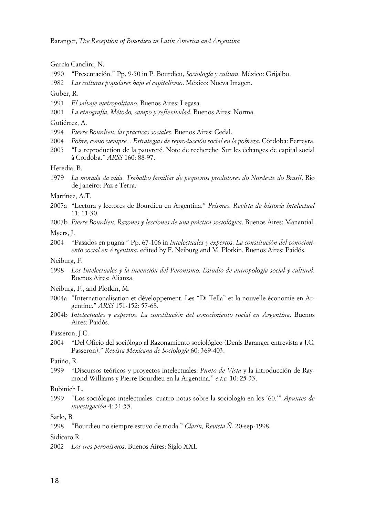García Canclini, N.

- 1990 "Presentación." Pp. 9-50 in P. Bourdieu, *Sociología y cultura*. México: Grijalbo.
- 1982 *Las culturas populares bajo el capitalismo*. México: Nueva Imagen.

#### Guber, R.

- 1991 *El salvaje metropolitano*. Buenos Aires: Legasa.
- 2001 *La etnografía. Método, campo y reflexividad*. Buenos Aires: Norma.

#### Gutiérrez, A.

- 1994 *Pierre Bourdieu: las prácticas sociales*. Buenos Aires: Cedal.
- 2004 *Pobre, como siempre... Estrategias de reproducción social en la pobreza*. Córdoba: Ferreyra.
- 2005 "La reproduction de la pauvreté. Note de recherche: Sur les échanges de capital social à Cordoba." *ARSS* 160: 88-97.

#### Heredia, B.

1979 *La morada da vida. Trabalho familiar de pequenos produtores do Nordeste do Brasil*. Rio de Janeiro: Paz e Terra.

Martínez, A.T.

- 2007a "Lectura y lectores de Bourdieu en Argentina." *Prismas. Revista de historia intelectual*  $11: 11-30.$
- 2007b *Pierre Bourdieu. Razones y lecciones de una práctica sociológica*. Buenos Aires: Manantial.

Myers, J.

2004 "Pasados en pugna." Pp. 67-106 in *Intelectuales y expertos. La constitución del conocimiento social en Argentina*, edited by F. Neiburg and M. Plotkin. Buenos Aires: Paidós.

Neiburg, F.

- 1998 *Los Intelectuales y la invención del Peronismo. Estudio de antropología social y cultural*. Buenos Aires: Alianza.
- Neiburg, F., and Plotkin, M.
- 2004a "Internationalisation et développement. Les "Di Tella" et la nouvelle économie en Argentine." *ARSS* 151-152: 57-68.
- 2004b *Intelectuales y expertos. La constitución del conocimiento social en Argentina*. Buenos Aires: Paidós.

Passeron, J.C.

2004 "Del Oficio del sociólogo al Razonamiento sociológico (Denis Baranger entrevista a J.C. Passeron)." *Revista Mexicana de Sociología* 60: 369-403.

Patiño, R.

1999 "Discursos teóricos y proyectos intelectuales: *Punto de Vista* y la introducción de Raymond Williams y Pierre Bourdieu en la Argentina." *e.t.c.* 10: 25-33.

#### Rubinich L.

1999 "Los sociólogos intelectuales: cuatro notas sobre la sociología en los '60.'" *Apuntes de investigación* 4: 31-55.

Sarlo, B.

1998 "Bourdieu no siempre estuvo de moda." *Clarín, Revista Ñ*, 20-sep-1998.

Sidicaro R.

2002 *Los tres peronismos*. Buenos Aires: Siglo XXI.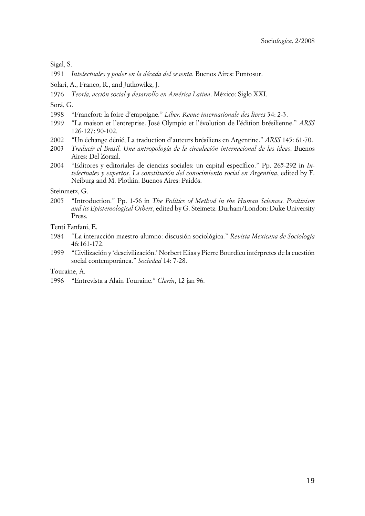Sigal, S.

- 1991 *Intelectuales y poder en la década del sesenta*. Buenos Aires: Puntosur.
- Solari, A., Franco, R., and Jutkowikz, J.
- 1976 *Teoría, acción social y desarrollo en América Latina*. México: Siglo XXI.

Sorá, G.

- 1998 "Francfort: la foire d'empoigne." *Liber. Revue internationale des livres* 34: 2-3.
- 1999 "La maison et l'entreprise. José Olympio et l'évolution de l'édition brésilienne." *ARSS* 126-127: 90-102.
- 2002 "Un échange dénié, La traduction d'auteurs brésiliens en Argentine." *ARSS* 145: 61-70.
- 2003 *Traducir el Brasil. Una antropología de la circulación internacional de las ideas*. Buenos Aires: Del Zorzal.
- 2004 "Editores y editoriales de ciencias sociales: un capital específico." Pp. 265-292 in *Intelectuales y expertos. La constitución del conocimiento social en Argentina*, edited by F. Neiburg and M. Plotkin. Buenos Aires: Paidós.

Steinmetz, G.

2005 "Introduction." Pp. 1-56 in *The Politics of Method in the Human Sciences. Positivism and its Epistemological Others*, edited by G. Steimetz. Durham/London: Duke University Press.

Tenti Fanfani, E.

- 1984 "La interacción maestro-alumno: discusión sociológica." *Revista Mexicana de Sociología* 46:161-172.
- 1999 "Civilización y 'descivilización.' Norbert Elias y Pierre Bourdieu intérpretes de la cuestión social contemporánea." *Sociedad* 14: 7-28.

Touraine, A.

1996 "Entrevista a Alain Touraine." *Clarín*, 12 jan 96.